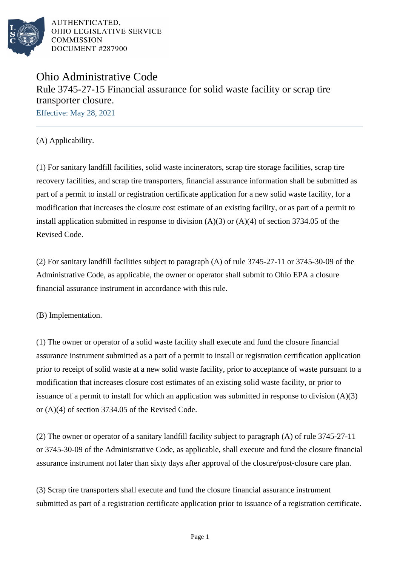

# Ohio Administrative Code Rule 3745-27-15 Financial assurance for solid waste facility or scrap tire transporter closure. Effective: May 28, 2021

(A) Applicability.

(1) For sanitary landfill facilities, solid waste incinerators, scrap tire storage facilities, scrap tire recovery facilities, and scrap tire transporters, financial assurance information shall be submitted as part of a permit to install or registration certificate application for a new solid waste facility, for a modification that increases the closure cost estimate of an existing facility, or as part of a permit to install application submitted in response to division  $(A)(3)$  or  $(A)(4)$  of section 3734.05 of the Revised Code.

(2) For sanitary landfill facilities subject to paragraph  $(A)$  of rule 3745-27-11 or 3745-30-09 of the Administrative Code, as applicable, the owner or operator shall submit to Ohio EPA a closure financial assurance instrument in accordance with this rule.

(B) Implementation.

(1) The owner or operator of a solid waste facility shall execute and fund the closure financial assurance instrument submitted as a part of a permit to install or registration certification application prior to receipt of solid waste at a new solid waste facility, prior to acceptance of waste pursuant to a modification that increases closure cost estimates of an existing solid waste facility, or prior to issuance of a permit to install for which an application was submitted in response to division  $(A)(3)$ or  $(A)(4)$  of section 3734.05 of the Revised Code.

(2) The owner or operator of a sanitary landfill facility subject to paragraph (A) of rule 3745-27-11 or 3745-30-09 of the Administrative Code, as applicable, shall execute and fund the closure financial assurance instrument not later than sixty days after approval of the closure/post-closure care plan.

(3) Scrap tire transporters shall execute and fund the closure financial assurance instrument submitted as part of a registration certificate application prior to issuance of a registration certificate.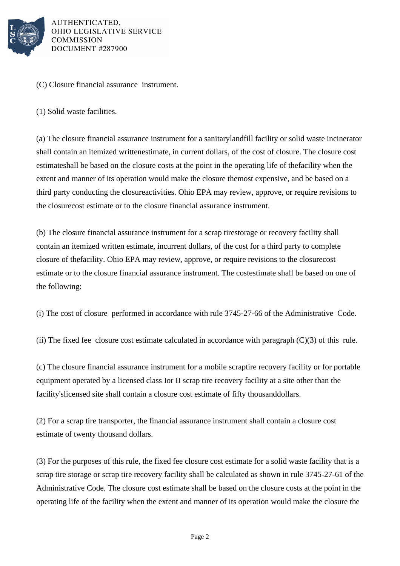

(C) Closure financial assurance instrument.

(1) Solid waste facilities.

(a) The closure financial assurance instrument for a sanitary landfill facility or solid waste incinerator shall contain an itemized written estimate, in current dollars, of the cost of closure. The closure cost estimate shall be based on the closure costs at the point in the operating life of the facility when the extent and manner of its operation would make the closure the most expensive, and be based on a third party conducting the closure activities. Ohio EPA may review, approve, or require revisions to the closure cost estimate or to the closure financial assurance instrument.

(b) The closure financial assurance instrument for a scrap tire storage or recovery facility shall contain an itemized written estimate, in current dollars, of the cost for a third party to complete closure of the facility. Ohio EPA may review, approve, or require revisions to the closure cost estimate or to the closure financial assurance instrument. The cost estimate shall be based on one of the following:

(i) The cost of closure performed in accordance with rule  $3745-27-66$  of the Administrative Code.

(ii) The fixed fee closure cost estimate calculated in accordance with paragraph  $(C)(3)$  of this rule.

(c) The closure financial assurance instrument for a mobile scrap tire recovery facility or for portable equipment operated by a licensed class I or II scrap tire recovery facility at a site other than the facility's licensed site shall contain a closure cost estimate of fifty thousand dollars.

 $(2)$  For a scrap tire transporter, the financial assurance instrument shall contain a closure cost estimate of twenty thousand dollars.

(3) For the purposes of this rule, the fixed fee closure cost estimate for a solid waste facility that is a scrap tire storage or scrap tire recovery facility shall be calculated as shown in rule 3745-27-61 of the Administrative Code. The closure cost estimate shall be based on the closure costs at the point in the operating life of the facility when the extent and manner of its operation would make the closure the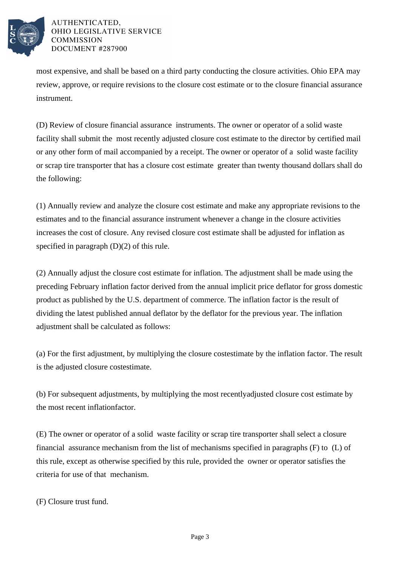

most expensive, and shall be based on a third party conducting the closure activities. Ohio EPA may review, approve, or require revisions to the closure cost estimate or to the closure financial assurance instrument.

(D) Review of closure financial assurance instruments. The owner or operator of a solid waste facility shall submit the most recently adjusted closure cost estimate to the director by certified mail or any other form of mail accompanied by a receipt. The owner or operator of a solid waste facility or scrap tire transporter that has a closure cost estimate greater than twenty thousand dollars shall do the following:

(1) Annually review and analyze the closure cost estimate and make any appropriate revisions to the estimates and to the financial assurance instrument whenever a change in the closure activities increases the cost of closure. Any revised closure cost estimate shall be adjusted for inflation as specified in paragraph  $(D)(2)$  of this rule.

(2) Annually adjust the closure cost estimate for inflation. The adjustment shall be made using the preceding February inflation factor derived from the annual implicit price deflator for gross domestic product as published by the U.S. department of commerce. The inflation factor is the result of dividing the latest published annual deflator by the deflator for the previous year. The inflation adjustment shall be calculated as follows:

(a) For the first adjustment, by multiplying the closure cost estimate by the inflation factor. The result is the adjusted closure cost estimate.

(b) For subsequent adjustments, by multiplying the most recently adjusted closure cost estimate by the most recent inflation factor.

(E) The owner or operator of a solid waste facility or scrap tire transporter shall select a closure financial assurance mechanism from the list of mechanisms specified in paragraphs (F) to (L) of this rule, except as otherwise specified by this rule, provided the owner or operator satisfies the criteria for use of that mechanism.

(F) Closure trust fund.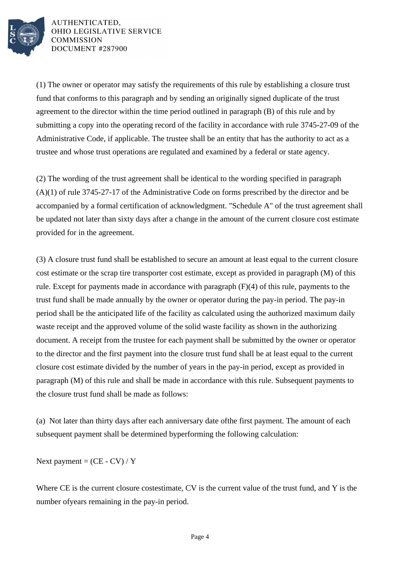

(1) The owner or operator may satisfy the requirements of this rule by establishing a closure trust fund that conforms to this paragraph and by sending an originally signed duplicate of the trust agreement to the director within the time period outlined in  $\beta$  paragraph (B) of this rule and by submitting a copy into the operating record of the facility in accordance with rule 3745-27-09 of the Administrative Code, if applicable. The trustee shall be an entity that has the authority to act as a trustee and whose trust operations are regulated and examined by a federal or state agency.

(2) The wording of the trust agreement shall be identical to the wording specified in paragraph  $(A)(1)$  of rule 3745-27-17 of the Administrative Code on forms prescribed by the director and be accompanied by a formal certification of acknowledgment. "Schedule A" of the trust agreement shall be updated not later than sixty days after a change in the amount of the current closure cost estimate provided for in the agreement.

(3) A closure trust fund shall be established to secure an amount at least equal to the current closure cost estimate or the scrap tire transporter cost estimate, except as provided in paragraph (M) of this rule. Except for payments made in accordance with  $\beta$  paragraph (F)(4) of this rule, payments to the trust fund shall be made annually by the owner or operator during the pay-in period. The pay-in period shall be the anticipated life of the facility as calculated using the authorized maximum daily waste receipt and the approved volume of the solid waste facility as shown in the authorizing document. A receipt from the trustee for each payment shall be submitted by the owner or operator to the director and the first payment into the closure trust fund shall be at least equal to the current closure cost estimate divided by the number of years in the pay-in period, except as provided in paragraph (M) of this rule and shall be made in accordance with this rule. Subsequent payments to the closure trust fund shall be made as follows:

(a) Not later than thirty days after each anniversary date of the first payment. The amount of each subsequent payment shall be determined by performing the following calculation:

Next payment =  $(CE - CV) / Y$ 

Where CE is the current closure cost estimate, CV is the current value of the trust fund, and Y is the number of years remaining in the pay-in period.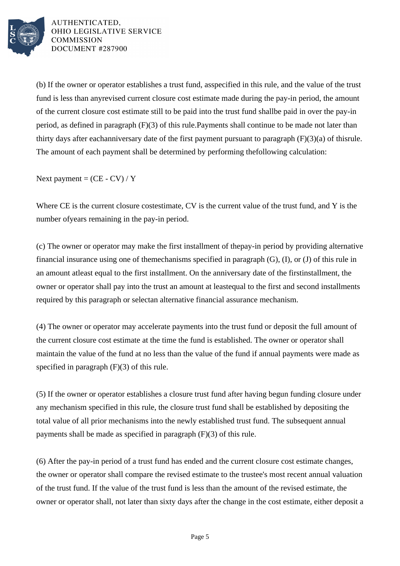

(b) If the owner or operator establishes a trust fund, as specified in this rule, and the value of the trust fund is less than any revised current closure cost estimate made during the pay-in period, the amount of the current closure cost estimate still to be paid into the trust fund shall be paid in over the pay-in period, as defined in paragraph  $(F)(3)$  of this rule. Payments shall continue to be made not later than thirty days after each anniversary date of the first payment pursuant to paragraph  $(F)(3)(a)$  of this rule. The amount of each payment shall be determined by performing the following calculation:

Next payment =  $(CE - CV) / Y$ 

Where CE is the current closure cost estimate, CV is the current value of the trust fund, and  $\overline{Y}$  is the number of years remaining in the pay-in period.

(c) The owner or operator may make the first installment of the pay-in period by providing alternative financial insurance using one of the mechanisms specified in paragraph  $(G)$ ,  $(I)$ , or  $(J)$  of this rule in an amount at least equal to the first installment. On the anniversary date of the first installment, the owner or operator shall pay into the trust an amount at least equal to the first and second installments required by this paragraph or select an alternative financial assurance mechanism.

(4) The owner or operator may accelerate payments into the trust fund or deposit the full amount of the current closure cost estimate at the time the fund is established. The owner or operator shall maintain the value of the fund at no less than the value of the fund if annual payments were made as specified in paragraph  $(F)(3)$  of this rule.

(5) If the owner or operator establishes a closure trust fund after having begun funding closure under any mechanism specified in this rule, the closure trust fund shall be established by depositing the total value of all prior mechanisms into the newly established trust fund. The subsequent annual payments shall be made as specified in paragraph  $(F)(3)$  of this rule.

(6) After the pay-in period of a trust fund has ended and the current closure cost estimate changes, the owner or operator shall compare the revised estimate to the trustee's most recent annual valuation of the trust fund. If the value of the trust fund is less than the amount of the revised estimate, the owner or operator shall, not later than sixty days after the change in the cost estimate, either deposit a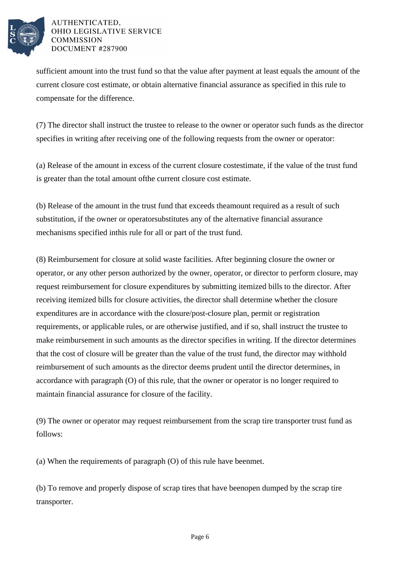

sufficient amount into the trust fund so that the value after payment at least equals the amount of the current closure cost estimate, or obtain alternative financial assurance as specified in this rule to compensate for the difference.

(7) The director shall instruct the trustee to release to the owner or operator such funds as the director specifies in writing after receiving one of the following requests from the owner or operator:

(a) Release of the amount in excess of the current closure cost estimate, if the value of the trust fund is greater than the total amount of the current closure cost estimate.

(b) Release of the amount in the trust fund that exceeds the amount required as a result of such substitution, if the owner or operator substitutes any of the alternative financial assurance mechanisms specified in this rule for all or part of the trust fund.

(8) Reimbursement for closure at solid waste facilities. After beginning closure the owner or operator, or any other person authorized by the owner, operator, or director to perform closure, may request reimbursement for closure expenditures by submitting itemized bills to the director. After receiving itemized bills for closure activities, the director shall determine whether the closure expenditures are in accordance with the closure/post-closure plan, permit or registration requirements, or applicable rules, or are otherwise justified, and if so, shall instruct the trustee to make reimbursement in such amounts as the director specifies in writing. If the director determines that the cost of closure will be greater than the value of the trust fund, the director may withhold reimbursement of such amounts as the director deems prudent until the director determines, in accordance with paragraph (O) of this rule, that the owner or operator is no longer required to maintain financial assurance for closure of the facility.

(9) The owner or operator may request reimbursement from the scrap tire transporter trust fund as follows:

(a) When the requirements of paragraph  $(O)$  of this rule have been met.

(b) To remove and properly dispose of scrap tires that have been open dumped by the scrap tire transporter.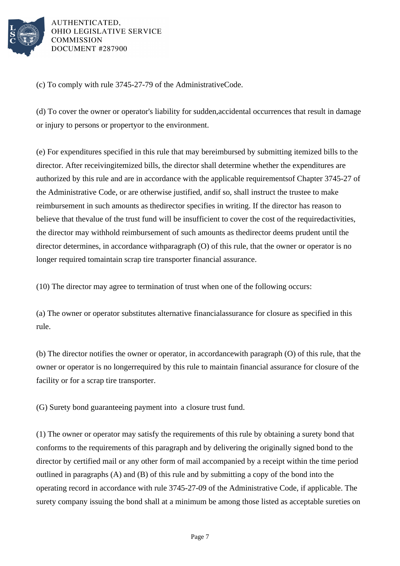

 $(c)$  To comply with rule 3745-27-79 of the Administrative Code.

(d) To cover the owner or operator's liability for sudden, accidental occurrences that result in damage or injury to persons or property or to the environment.

(e) For expenditures specified in this rule that may be reimbursed by submitting itemized bills to the director. After receiving itemized bills, the director shall determine whether the expenditures are authorized by this rule and are in accordance with the applicable requirements of Chapter 3745-27 of the Administrative Code, or are otherwise justified, and if so, shall instruct the trustee to make reimbursement in such amounts as the director specifies in writing. If the director has reason to believe that the value of the trust fund will be insufficient to cover the cost of the required activities, the director may withhold reimbursement of such amounts as the director deems prudent until the director determines, in accordance with  $\beta$  paragraph (O) of this rule, that the owner or operator is no longer required to maintain scrap tire transporter financial assurance.

(10) The director may agree to termination of trust when one of the following occurs:

(a) The owner or operator substitutes alternative financial assurance for closure as specified in this rule.

(b) The director notifies the owner or operator, in accordance with paragraph (O) of this rule, that the owner or operator is no longer required by this rule to maintain financial assurance for closure of the facility or for a scrap tire transporter.

(G) Surety bond guaranteeing payment into a closure trust fund.

(1) The owner or operator may satisfy the requirements of this rule by obtaining a surety bond that conforms to the requirements of this paragraph and by delivering the originally signed bond to the director by certified mail or any other form of mail accompanied by a receipt within the time period outlined in paragraphs  $(A)$  and  $(B)$  of this rule and by submitting a copy of the bond into the operating record in accordance with rule 3745-27-09 of the Administrative Code, if applicable. The surety company issuing the bond shall at a minimum be among those listed as acceptable sureties on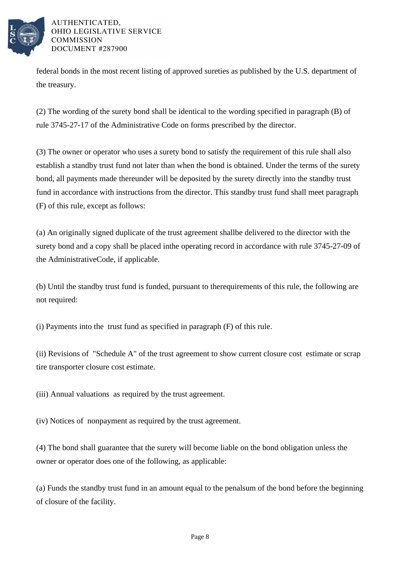

federal bonds in the most recent listing of approved sureties as published by the U.S. department of the treasury.

(2) The wording of the surety bond shall be identical to the wording specified in paragraph (B) of rule 3745-27-17 of the Administrative Code on forms prescribed by the director.

(3) The owner or operator who uses a surety bond to satisfy the requirement of this rule shall also establish a standby trust fund not later than when the bond is obtained. Under the terms of the surety bond, all payments made thereunder will be deposited by the surety directly into the standby trust fund in accordance with instructions from the director. This standby trust fund shall meet paragraph (F) of this rule, except as follows:

(a) An originally signed duplicate of the trust agreement shall be delivered to the director with the surety bond and a copy shall be placed in the operating record in accordance with rule 3745-27-09 of the Administrative Code, if applicable.

(b) Until the standby trust fund is funded, pursuant to the requirements of this rule, the following are not required:

(i) Payments into the trust fund as specified in paragraph  $(F)$  of this rule.

(ii) Revisions of "Schedule A" of the trust agreement to show current closure cost estimate or scrap tire transporter closure cost estimate.

(iii) Annual valuations as required by the trust agreement.

(iv) Notices of nonpayment as required by the trust agreement.

(4) The bond shall guarantee that the surety will become liable on the bond obligation unless the owner or operator does one of the following, as applicable:

(a) Funds the standby trust fund in an amount equal to the penal sum of the bond before the beginning of closure of the facility.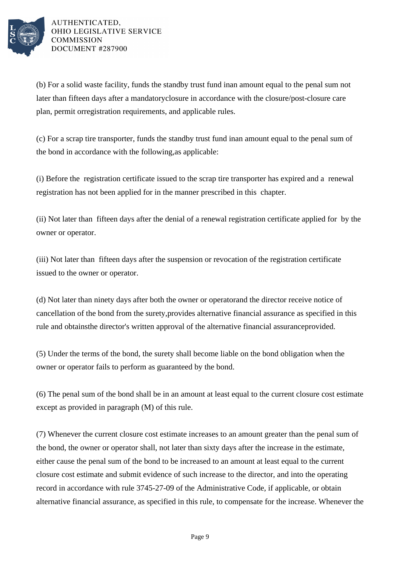

(b) For a solid waste facility, funds the standby trust fund in an amount equal to the penal sum not later than fifteen days after a mandatory closure in accordance with the closure/post-closure care plan, permit or registration requirements, and applicable rules.

(c) For a scrap tire transporter, funds the standby trust fund in an amount equal to the penal sum of the bond in accordance with the following, as applicable:

(i) Before the registration certificate issued to the scrap tire transporter has expired and a renewal registration has not been applied for in the manner prescribed in this chapter.

(ii) Not later than fifteen days after the denial of a renewal registration certificate applied for by the owner or operator.

(iii) Not later than fifteen days after the suspension or revocation of the registration certificate issued to the owner or operator.

(d) Not later than ninety days after both the owner or operator and the director receive notice of cancellation of the bond from the surety, provides alternative financial assurance as specified in this rule and obtains the director's written approval of the alternative financial assurance provided.

(5) Under the terms of the bond, the surety shall become liable on the bond obligation when the owner or operator fails to perform as guaranteed by the bond.

(6) The penal sum of the bond shall be in an amount at least equal to the current closure cost estimate except as provided in paragraph (M) of this rule.

(7) Whenever the current closure cost estimate increases to an amount greater than the penal sum of the bond, the owner or operator shall, not later than sixty days after the increase in the estimate, either cause the penal sum of the bond to be increased to an amount at least equal to the current closure cost estimate and submit evidence of such increase to the director, and into the operating record in accordance with rule 3745-27-09 of the Administrative Code, if applicable, or obtain alternative financial assurance, as specified in this rule, to compensate for the increase. Whenever the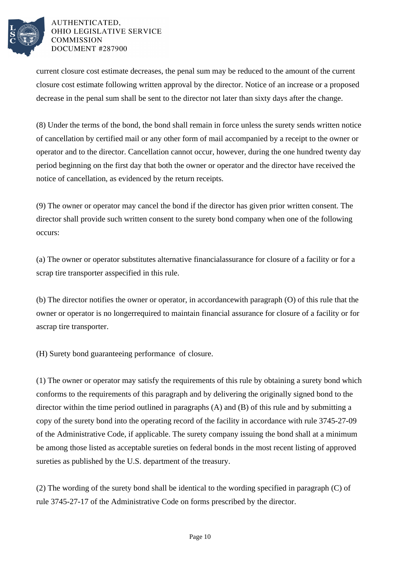

current closure cost estimate decreases, the penal sum may be reduced to the amount of the current closure cost estimate following written approval by the director. Notice of an increase or a proposed decrease in the penal sum shall be sent to the director not later than sixty days after the change.

(8) Under the terms of the bond, the bond shall remain in force unless the surety sends written notice of cancellation by certified mail or any other form of mail accompanied by a receipt to the owner or operator and to the director. Cancellation cannot occur, however, during the one hundred twenty day period beginning on the first day that both the owner or operator and the director have received the notice of cancellation, as evidenced by the return receipts.

(9) The owner or operator may cancel the bond if the director has given prior written consent. The director shall provide such written consent to the surety bond company when one of the following occurs:

(a) The owner or operator substitutes alternative financial assurance for closure of a facility or for a scrap tire transporter as specified in this rule.

(b) The director notifies the owner or operator, in accordance with paragraph  $(0)$  of this rule that the owner or operator is no longer required to maintain financial assurance for closure of a facility or for a scrap tire transporter.

(H) Surety bond guaranteeing performance of closure.

(1) The owner or operator may satisfy the requirements of this rule by obtaining a surety bond which conforms to the requirements of this paragraph and by delivering the originally signed bond to the director within the time period outlined in paragraphs  $(A)$  and  $(B)$  of this rule and by submitting a copy of the surety bond into the operating record of the facility in accordance with rule 3745-27-09 of the Administrative Code, if applicable. The surety company issuing the bond shall at a minimum be among those listed as acceptable sureties on federal bonds in the most recent listing of approved sureties as published by the U.S. department of the treasury.

(2) The wording of the surety bond shall be identical to the wording specified in paragraph  $(C)$  of rule 3745-27-17 of the Administrative Code on forms prescribed by the director.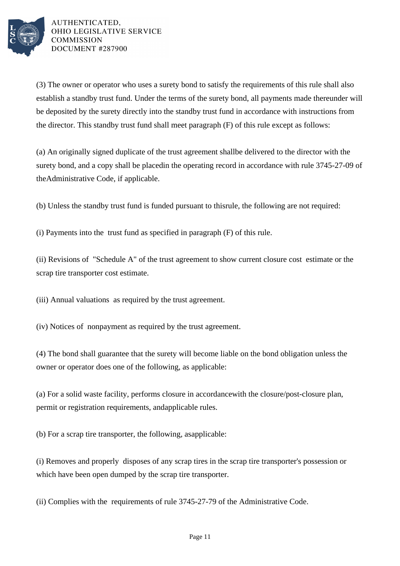

(3) The owner or operator who uses a surety bond to satisfy the requirements of this rule shall also establish a standby trust fund. Under the terms of the surety bond, all payments made thereunder will be deposited by the surety directly into the standby trust fund in accordance with instructions from the director. This standby trust fund shall meet paragraph  $(F)$  of this rule except as follows:

(a) An originally signed duplicate of the trust agreement shall be delivered to the director with the surety bond, and a copy shall be placed in the operating record in accordance with rule 3745-27-09 of the Administrative Code, if applicable.

(b) Unless the standby trust fund is funded pursuant to this rule, the following are not required:

(i) Payments into the trust fund as specified in paragraph  $(F)$  of this rule.

(ii) Revisions of "Schedule A" of the trust agreement to show current closure cost estimate or the scrap tire transporter cost estimate.

(iii) Annual valuations as required by the trust agreement.

(iv) Notices of nonpayment as required by the trust agreement.

(4) The bond shall guarantee that the surety will become liable on the bond obligation unless the owner or operator does one of the following, as applicable:

(a) For a solid waste facility, performs closure in accordance with the closure/post-closure plan, permit or registration requirements, and applicable rules.

(b) For a scrap tire transporter, the following, as applicable:

(i) Removes and properly disposes of any scrap tires in the scrap tire transporter's possession or which have been open dumped by the scrap tire transporter.

(ii) Complies with the requirements of rule 3745-27-79 of the Administrative Code.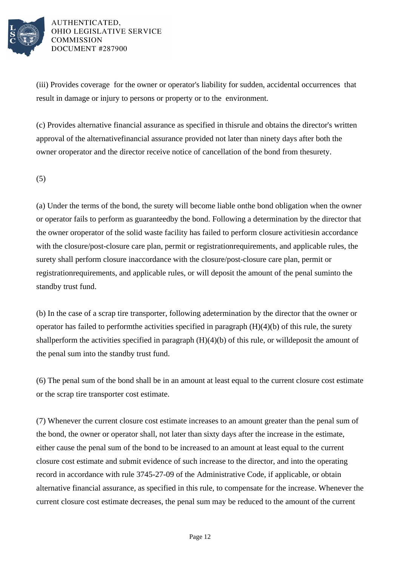

(iii) Provides coverage for the owner or operator's liability for sudden, accidental occurrences that result in damage or injury to persons or property or to the environment.

(c) Provides alternative financial assurance as specified in this rule and obtains the director's written approval of the alternative financial assurance provided not later than ninety days after both the owner or operator and the director receive notice of cancellation of the bond from the surety.

(5)

(a) Under the terms of the bond, the surety will become liable on the bond obligation when the owner or operator fails to perform as guaranteed by the bond. Following a determination by the director that the owner or operator of the solid waste facility has failed to perform closure activities in accordance with the closure/post-closure care plan, permit or registration requirements, and applicable rules, the surety shall perform closure in accordance with the closure/post-closure care plan, permit or registration requirements, and applicable rules, or will deposit the amount of the penal sum into the standby trust fund.

(b) In the case of a scrap tire transporter, following a determination by the director that the owner or operator has failed to perform the activities specified in paragraph  $(H)(4)(b)$  of this rule, the surety shall perform the activities specified in paragraph  $(H)(4)(b)$  of this rule, or will deposit the amount of the penal sum into the standby trust fund.

(6) The penal sum of the bond shall be in an amount at least equal to the current closure cost estimate or the scrap tire transporter cost estimate.

(7) Whenever the current closure cost estimate increases to an amount greater than the penal sum of the bond, the owner or operator shall, not later than sixty days after the increase in the estimate, either cause the penal sum of the bond to be increased to an amount at least equal to the current closure cost estimate and submit evidence of such increase to the director, and into the operating record in accordance with rule 3745-27-09 of the Administrative Code, if applicable, or obtain alternative financial assurance, as specified in this rule, to compensate for the increase. Whenever the current closure cost estimate decreases, the penal sum may be reduced to the amount of the current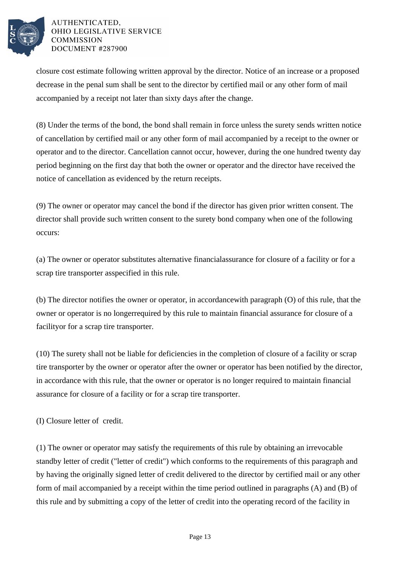

closure cost estimate following written approval by the director. Notice of an increase or a proposed decrease in the penal sum shall be sent to the director by certified mail or any other form of mail accompanied by a receipt not later than sixty days after the change.

(8) Under the terms of the bond, the bond shall remain in force unless the surety sends written notice of cancellation by certified mail or any other form of mail accompanied by a receipt to the owner or operator and to the director. Cancellation cannot occur, however, during the one hundred twenty day period beginning on the first day that both the owner or operator and the director have received the notice of cancellation as evidenced by the return receipts.

(9) The owner or operator may cancel the bond if the director has given prior written consent. The director shall provide such written consent to the surety bond company when one of the following occurs:

(a) The owner or operator substitutes alternative financial assurance for closure of a facility or for a scrap tire transporter as specified in this rule.

(b) The director notifies the owner or operator, in accordance with paragraph  $(O)$  of this rule, that the owner or operator is no longer required by this rule to maintain financial assurance for closure of a facility or for a scrap tire transporter.

(10) The surety shall not be liable for deficiencies in the completion of closure of a facility or scrap tire transporter by the owner or operator after the owner or operator has been notified by the director, in accordance with this rule, that the owner or operator is no longer required to maintain financial assurance for closure of a facility or for a scrap tire transporter.

(I) Closure letter of credit.

(1) The owner or operator may satisfy the requirements of this rule by obtaining an irrevocable standby letter of credit ("letter of credit") which conforms to the requirements of this paragraph and by having the originally signed letter of credit delivered to the director by certified mail or any other form of mail  $a$ ccompanied by a receipt within the time period outlined in paragraphs (A) and (B) of this rule and by submitting a copy of the letter of credit into the operating record of the facility in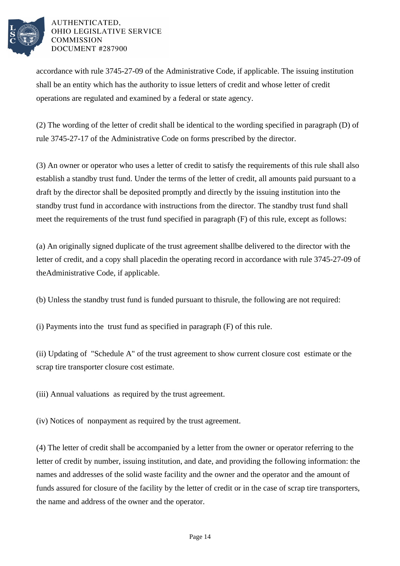

accordance with rule 3745-27-09 of the Administrative Code, if applicable. The issuing institution shall be an entity which has the authority to issue letters of credit and whose letter of credit operations are regulated and examined by a federal or state agency.

(2) The wording of the letter of credit shall be identical to the wording specified in paragraph (D) of rule 3745-27-17 of the Administrative Code on forms prescribed by the director.

(3) An owner or operator who uses a letter of credit to satisfy the requirements of this rule shall also establish a standby trust fund. Under the terms of the letter of credit, all amounts paid pursuant to a draft by the director shall be deposited promptly and directly by the issuing institution into the standby trust fund in accordance with instructions from the director. The standby trust fund shall meet the requirements of the trust fund specified in paragraph  $(F)$  of this rule, except as follows:

(a) An originally signed duplicate of the trust agreement shall be delivered to the director with the letter of credit, and a copy shall placed in the operating record in accordance with rule 3745-27-09 of the Administrative Code, if applicable.

(b) Unless the standby trust fund is funded pursuant to this rule, the following are not required:

 $(i)$  Payments into the trust fund as specified in paragraph  $(F)$  of this rule.

(ii) Updating of "Schedule A" of the trust agreement to show current closure cost estimate or the scrap tire transporter closure cost estimate.

(iii) Annual valuations as required by the trust agreement.

(iv) Notices of nonpayment as required by the trust agreement.

(4) The letter of credit shall be accompanied by a letter from the owner or operator referring to the letter of credit by number, issuing institution, and date, and providing the following information: the names and addresses of the solid waste facility and the owner and the operator and the amount of funds assured for closure of the facility by the letter of credit or in the case of scrap tire transporters, the name and address of the owner and the operator.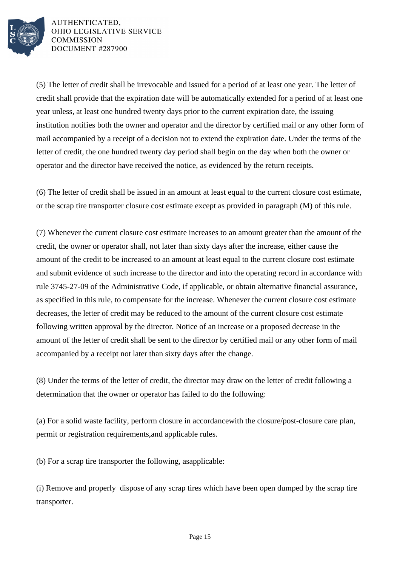

(5) The letter of credit shall be irrevocable and issued for a period of at least one year. The letter of credit shall provide that the expiration date will be automatically extended for a period of at least one year unless, at least one hundred twenty days prior to the current expiration date, the issuing institution notifies both the owner and operator and the director by certified mail or any other form of mail accompanied by a receipt of a decision not to extend the expiration date. Under the terms of the letter of credit, the one hundred twenty day period shall begin on the day when both the owner or operator and the director have received the notice, as evidenced by the return receipts.

(6) The letter of credit shall be issued in an amount at least equal to the current closure cost estimate, or the scrap tire transporter closure cost estimate except as provided in paragraph (M) of this rule.

(7) Whenever the current closure cost estimate increases to an amount greater than the amount of the credit, the owner or operator shall, not later than sixty days after the increase, either cause the amount of the credit to be increased to an amount at least equal to the current closure cost estimate and submit evidence of such increase to the director and into the operating record in accordance with rule 3745-27-09 of the Administrative Code, if applicable, or obtain alternative financial assurance, as specified in this rule, to compensate for the increase. Whenever the current closure cost estimate decreases, the letter of credit may be reduced to the amount of the current closure cost estimate following written approval by the director. Notice of an increase or a proposed decrease in the amount of the letter of credit shall be sent to the director by certified mail or any other form of mail accompanied by a receipt not later than sixty days after the change.

(8) Under the terms of the letter of credit, the director may draw on the letter of credit following a determination that the owner or operator has failed to do the following:

(a) For a solid waste facility, perform closure in accordance with the closure/post-closure care plan, permit or registration requirements, and applicable rules.

(b) For a scrap tire transporter the following, as applicable:

(i) Remove and properly dispose of any scrap tires which have been open dumped by the scrap tire transporter.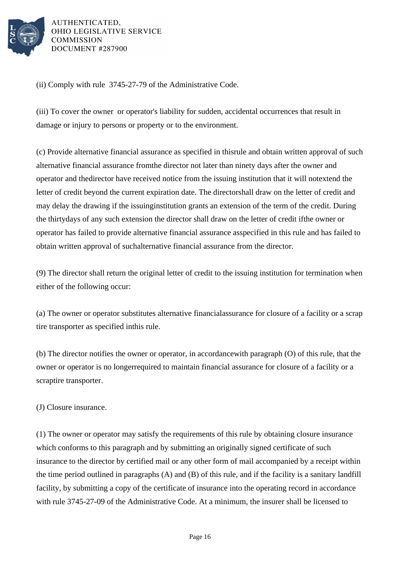

(ii) Comply with rule 3745-27-79 of the Administrative Code.

(iii) To cover the owner or operator's liability for sudden, accidental occurrences that result in damage or injury to persons or property or to the environment.

(c) Provide alternative financial assurance as specified in this rule and obtain written approval of such alternative financial assurance from the director not later than ninety days after the owner and operator and the director have received notice from the issuing institution that it will not extend the letter of credit beyond the current expiration date. The director shall draw on the letter of credit and may delay the drawing if the issuing institution grants an extension of the term of the credit. During the thirty days of any such extension the director shall draw on the letter of credit if the owner or operator has failed to provide alternative financial assurance as specified in this rule and has failed to obtain written approval of such alternative financial assurance from the director.

(9) The director shall return the original letter of credit to the issuing institution for termination when either of the following occur:

(a) The owner or operator substitutes alternative financial assurance for closure of a facility or a scrap tire transporter as specified in this rule.

(b) The director notifies the owner or operator, in accordance with paragraph (O) of this rule, that the owner or operator is no longer required to maintain financial assurance for closure of a facility or a scrap tire transporter.

(J) Closure insurance.

(1) The owner or operator may satisfy the requirements of this rule by obtaining closure insurance which conforms to this paragraph and by submitting an originally signed certificate of such insurance to the director by certified mail or any other form of mail accompanied by a receipt within the time period outlined in paragraphs  $(A)$  and  $(B)$  of this rule, and if the facility is a sanitary landfill facility, by submitting a copy of the certificate of insurance into the operating record in accordance with rule  $3745-27-09$  of the Administrative Code. At a minimum, the insurer shall be licensed to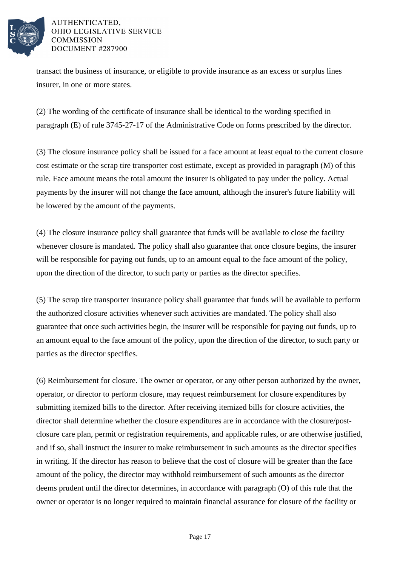

transact the business of insurance, or eligible to provide insurance as an excess or surplus lines insurer, in one or more states.

(2) The wording of the certificate of insurance shall be identical to the wording specified in paragraph (E) of rule 3745-27-17 of the Administrative Code on forms prescribed by the director.

(3) The closure insurance policy shall be issued for a face amount at least equal to the current closure cost estimate or the scrap tire transporter cost estimate, except as provided in paragraph (M) of this rule. Face amount means the total amount the insurer is obligated to pay under the policy. Actual payments by the insurer will not change the face amount, although the insurer's future liability will be lowered by the amount of the payments.

(4) The closure insurance policy shall guarantee that funds will be available to close the facility whenever closure is mandated. The policy shall also guarantee that once closure begins, the insurer will be responsible for paying out funds, up to an amount equal to the face amount of the policy, upon the direction of the director, to such party or parties as the director specifies.

(5) The scrap tire transporter insurance policy shall guarantee that funds will be available to perform the authorized closure activities whenever such activities are mandated. The policy shall also guarantee that once such activities begin, the insurer will be responsible for paying out funds, up to an amount equal to the face amount of the policy, upon the direction of the director, to such party or parties as the director specifies.

(6) Reimbursement for closure. The owner or operator, or any other person authorized by the owner, operator, or director to perform closure, may request reimbursement for closure expenditures by submitting itemized bills to the director. After receiving itemized bills for closure activities, the director shall determine whether the closure expenditures are in accordance with the closure/postclosure care plan, permit or registration requirements, and applicable rules, or are otherwise justified, and if so, shall instruct the insurer to make reimbursement in such amounts as the director specifies in writing. If the director has reason to believe that the cost of closure will be greater than the face amount of the policy, the director may withhold reimbursement of such amounts as the director deems prudent until the director determines, in accordance with paragraph (O) of this rule that the owner or operator is no longer required to maintain financial assurance for closure of the facility or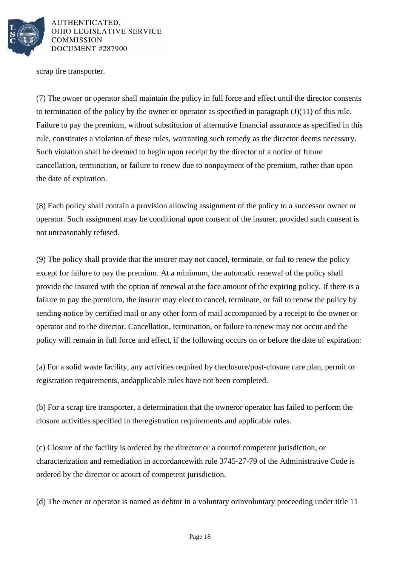

scrap tire transporter.

(7) The owner or operator shall maintain the policy in full force and effect until the director consents to termination of the policy by the owner or operator as specified in paragraph  $(J)(11)$  of this rule. Failure to pay the premium, without substitution of alternative financial assurance as specified in this rule, constitutes a violation of these rules, warranting such remedy as the director deems necessary. Such violation shall be deemed to begin upon receipt by the director of a notice of future cancellation, termination, or failure to renew due to nonpayment of the premium, rather than upon the date of expiration.

(8) Each policy shall contain a provision allowing assignment of the policy to a successor owner or operator. Such assignment may be conditional upon consent of the insurer, provided such consent is not unreasonably refused.

(9) The policy shall provide that the insurer may not cancel, terminate, or fail to renew the policy except for failure to pay the premium. At a minimum, the automatic renewal of the policy shall provide the insured with the option of renewal at the face amount of the expiring policy. If there is a failure to pay the premium, the insurer may elect to cancel, terminate, or fail to renew the policy by sending notice by certified mail or any other form of mail accompanied by a receipt to the owner or operator and to the director. Cancellation, termination, or failure to renew may not occur and the policy will remain in full force and effect, if the following occurs on or before the date of expiration:

(a) For a solid waste facility, any activities required by the closure/post-closure care plan, permit or registration requirements, and applicable rules have not been completed.

(b) For a scrap tire transporter, a determination that the owner or operator has failed to perform the closure activities specified in the registration requirements and applicable rules.

(c) Closure of the facility is ordered by the director or a court of competent jurisdiction, or characterization and remediation in accordance with rule 3745-27-79 of the Administrative Code is ordered by the director or a court of competent jurisdiction.

(d) The owner or operator is named as debtor in a voluntary or involuntary proceeding under title 11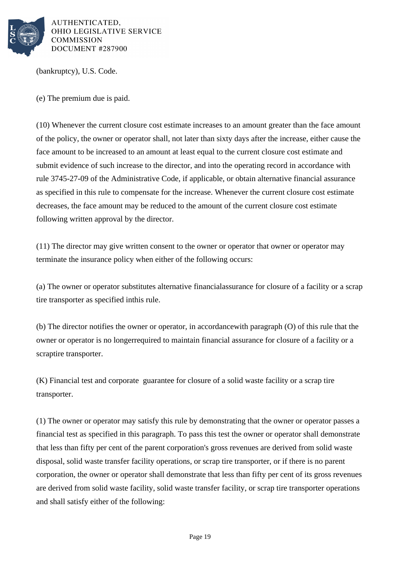

(bankruptcy), U.S. Code.

(e) The premium due is paid.

(10) Whenever the current closure cost estimate increases to an amount greater than the face amount of the policy, the owner or operator shall, not later than sixty days after the increase, either cause the face amount to be increased to an amount at least equal to the current closure cost estimate and submit evidence of such increase to the director, and into the operating record in accordance with rule 3745-27-09 of the Administrative Code, if applicable, or obtain alternative financial assurance as specified in this rule to compensate for the increase. Whenever the current closure cost estimate decreases, the face amount may be reduced to the amount of the current closure cost estimate following written approval by the director.

 $(11)$  The director may give written consent to the owner or operator that owner or operator may terminate the insurance policy when either of the following occurs:

(a) The owner or operator substitutes alternative financial assurance for closure of a facility or a scrap tire transporter as specified in this rule.

(b) The director notifies the owner or operator, in accordance with paragraph (O) of this rule that the owner or operator is no longer required to maintain financial assurance for closure of a facility or a scrap tire transporter.

(K) Financial test and corporate guarantee for closure of a solid waste facility or a scrap tire transporter.

(1) The owner or operator may satisfy this rule by demonstrating that the owner or operator passes a financial test as specified in this paragraph. To pass this test the owner or operator shall demonstrate that less than fifty per cent of the parent corporation's gross revenues are derived from solid waste disposal, solid waste transfer facility operations, or scrap tire transporter, or if there is no parent corporation, the owner or operator shall demonstrate that less than fifty per cent of its gross revenues are derived from solid waste facility, solid waste transfer facility, or scrap tire transporter operations and shall satisfy either of the following: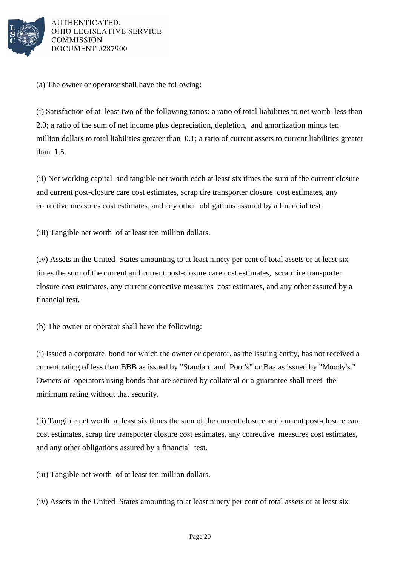

(a) The owner or operator shall have the following:

(i) Satisfaction of at least two of the following ratios: a ratio of total liabilities to net worth less than 2.0; a ratio of the sum of net income plus depreciation, depletion, and amortization minus ten million dollars to total liabilities greater than  $0.1$ ; a ratio of current assets to current liabilities greater than  $1.5$ .

(ii) Net working capital and tangible net worth each at least six times the sum of the current closure and current post-closure care cost estimates, scrap tire transporter closure cost estimates, any corrective measures cost estimates, and any other obligations assured by a financial test.

(iii) Tangible net worth of at least ten million dollars.

(iv) Assets in the United States amounting to at least ninety per cent of total assets or at least six times the sum of the current and current post-closure care cost estimates, scrap tire transporter closure cost estimates, any current corrective measures cost estimates, and any other assured by a financial test.

(b) The owner or operator shall have the following:

(i) Issued a corporate bond for which the owner or operator, as the issuing entity, has not received a current rating of less than BBB as issued by "Standard and Poor's" or Baa as issued by "Moody's." Owners or operators using bonds that are secured by collateral or a guarantee shall meet the minimum rating without that security.

(ii) Tangible net worth at least six times the sum of the current closure and current post-closure care cost estimates, scrap tire transporter closure cost estimates, any corrective measures cost estimates, and any other obligations assured by a financial test.

(iii) Tangible net worth of at least ten million dollars.

(iv) Assets in the United States amounting to at least ninety per cent of total assets or at least six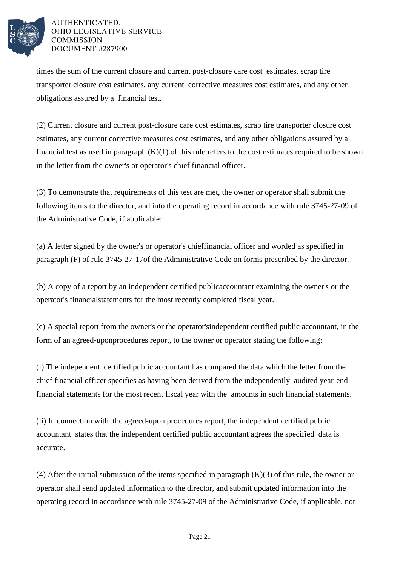

times the sum of the current closure and current post-closure care cost estimates, scrap tire transporter closure cost estimates, any current corrective measures cost estimates, and any other obligations assured by a financial test.

(2) Current closure and current post-closure care cost estimates, scrap tire transporter closure cost estimates, any current corrective measures cost estimates, and any other obligations assured by a financial test as used in paragraph  $(K)(1)$  of this rule refers to the cost estimates required to be shown in the letter from the owner's or operator's chief financial officer.

(3) To demonstrate that requirements of this test are met, the owner or operator shall submit the following items to the director, and into the operating record in accordance with rule 3745-27-09 of the Administrative Code, if applicable:

(a) A letter signed by the owner's or operator's chief financial officer and worded as specified in paragraph (F) of rule 3745-27-17 of the Administrative Code on forms prescribed by the director.

(b) A copy of a report by an independent certified public accountant examining the owner's or the operator's financial statements for the most recently completed fiscal year.

(c) A special report from the owner's or the operator's independent certified public accountant, in the form of an agreed-upon procedures report, to the owner or operator stating the following:

(i) The independent certified public accountant has compared the data which the letter from the chief financial officer specifies as having been derived from the independently audited year-end financial statements for the most recent fiscal year with the amounts in such financial statements.

(ii) In connection with the agreed-upon procedures report, the independent certified public accountant states that the independent certified public accountant agrees the specified data is accurate.

(4) After the initial submission of the items specified in paragraph  $(K)(3)$  of this rule, the owner or operator shall send updated information to the director, and submit updated information into the operating record in accordance with rule 3745-27-09 of the Administrative Code, if applicable, not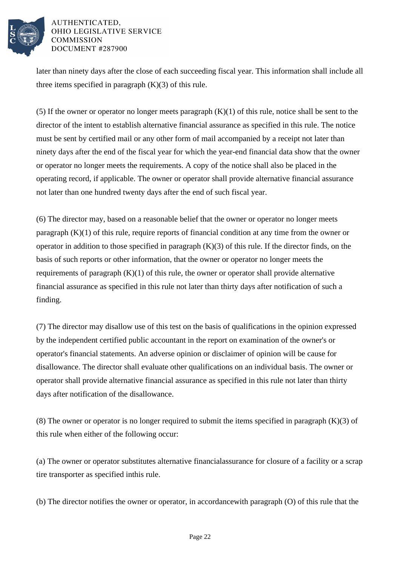

later than ninety days after the close of each succeeding fiscal year. This information shall include all three items specified in paragraph  $(K)(3)$  of this rule.

(5) If the owner or operator no longer meets paragraph  $(K)(1)$  of this rule, notice shall be sent to the director of the intent to establish alternative financial assurance as specified in this rule. The notice must be sent by certified mail or any other form of mail accompanied by a receipt not later than ninety days after the end of the fiscal year for which the year-end financial data show that the owner or operator no longer meets the requirements. A copy of the notice shall also be placed in the operating record, if applicable. The owner or operator shall provide alternative financial assurance not later than one hundred twenty days after the end of such fiscal year.

(6) The director may, based on a reasonable belief that the owner or operator no longer meets paragraph  $(K)(1)$  of this rule, require reports of financial condition at any time from the owner or operator in addition to those specified in paragraph  $(K)(3)$  of this rule. If the director finds, on the basis of such reports or other information, that the owner or operator no longer meets the requirements of paragraph  $(K)(1)$  of this rule, the owner or operator shall provide alternative financial assurance as specified in this rule not later than thirty days after notification of such a finding.

(7) The director may disallow use of this test on the basis of qualifications in the opinion expressed by the independent certified public accountant in the report on examination of the owner's or operator's financial statements. An adverse opinion or disclaimer of opinion will be cause for disallowance. The director shall evaluate other qualifications on an individual basis. The owner or operator shall provide alternative financial assurance as specified in this rule not later than thirty days after notification of the disallowance.

(8) The owner or operator is no longer required to submit the items specified in paragraph  $(K)(3)$  of this rule when either of the following occur:

(a) The owner or operator substitutes alternative financial assurance for closure of a facility or a scrap tire transporter as specified in this rule.

(b) The director notifies the owner or operator, in accordance with paragraph  $(0)$  of this rule that the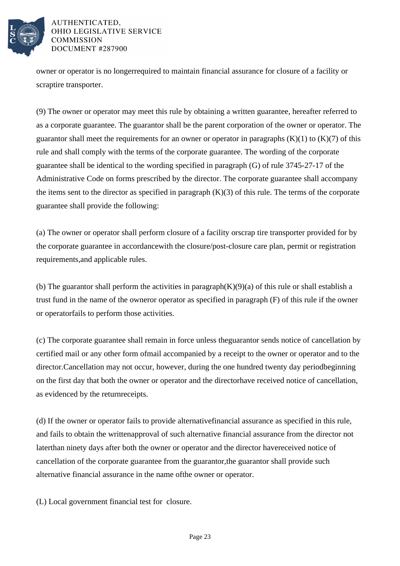

owner or operator is no longer required to maintain financial assurance for closure of a facility or scrap tire transporter.

(9) The owner or operator may meet this rule by obtaining a written guarantee, hereafter referred to as a corporate guarantee. The guarantor shall be the parent corporation of the owner or operator. The guarantor shall meet the requirements for an owner or operator in paragraphs  $(K)(1)$  to  $(K)(7)$  of this rule and shall comply with the terms of the corporate guarantee. The wording of the corporate guarantee shall be identical to the wording specified in paragraph  $(G)$  of rule 3745-27-17 of the Administrative Code on forms prescribed by the director. The corporate guarantee shall accompany the items sent to the director as specified in paragraph  $(K)(3)$  of this rule. The terms of the corporate guarantee shall provide the following:

(a) The owner or operator shall perform closure of a facility or scrap tire transporter provided for by the corporate guarantee in accordance with the closure/post-closure care plan, permit or registration requirements, and applicable rules.

(b) The guarantor shall perform the activities in paragraph  $(K)(9)(a)$  of this rule or shall establish a trust fund in the name of the owner or operator as specified in paragraph  $(F)$  of this rule if the owner or operator fails to perform those activities.

(c) The corporate guarantee shall remain in force unless the guarantor sends notice of cancellation by certified mail or any other form of mail accompanied by a receipt to the owner or operator and to the director. Cancellation may not occur, however, during the one hundred twenty day period beginning on the first day that both the owner or operator and the director have received notice of cancellation, as evidenced by the return receipts.

(d) If the owner or operator fails to provide alternative financial assurance as specified in this rule, and fails to obtain the written approval of such alternative financial assurance from the director not later than ninety days after both the owner or operator and the director have received notice of cancellation of the corporate guarantee from the guarantor, the guarantor shall provide such alternative financial assurance in the name of the owner or operator.

(L) Local government financial test for closure.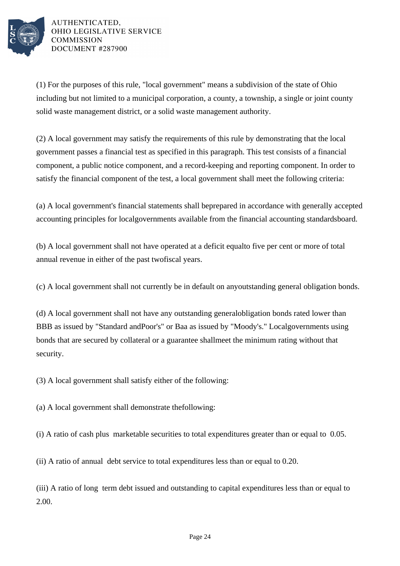

 $(1)$  For the purposes of this rule, "local government" means a subdivision of the state of Ohio including but not limited to a municipal corporation, a county, a township, a single or joint county solid waste management district, or a solid waste management authority.

(2) A local government may satisfy the requirements of this rule by demonstrating that the local government passes a financial test as specified in this paragraph. This test consists of a financial component, a public notice component, and a record-keeping and reporting component. In order to satisfy the financial component of the test, a local government shall meet the following criteria:

(a) A local government's financial statements shall be prepared in accordance with generally accepted accounting principles for local governments available from the financial accounting standards board.

(b) A local government shall not have operated at a deficit equal to five per cent or more of total annual revenue in either of the past two fiscal years.

(c) A local government shall not currently be in default on any outstanding general obligation bonds.

(d) A local government shall not have any outstanding general obligation bonds rated lower than BBB as issued by "Standard and Poor's" or Baa as issued by "Moody's." Local governments using bonds that are secured by collateral or a guarantee shall meet the minimum rating without that security.

 $(3)$  A local government shall satisfy either of the following:

(a) A local government shall demonstrate the following:

(i) A ratio of cash plus marketable securities to total expenditures greater than or equal to  $0.05$ .

(ii) A ratio of annual debt service to total expenditures less than or equal to 0.20.

(iii) A ratio of long term debt issued and outstanding to capital expenditures less than or equal to 2.00.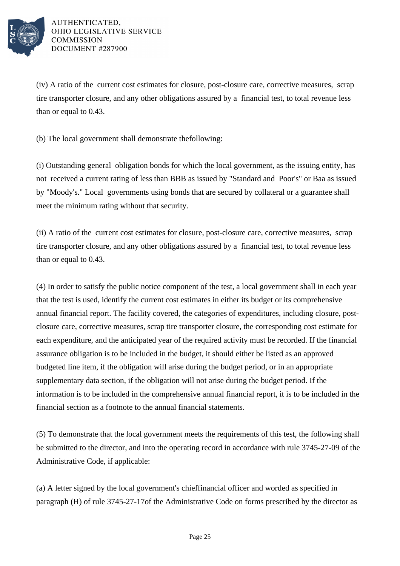

 $(iv)$  A ratio of the current cost estimates for closure, post-closure care, corrective measures, scrap tire transporter closure, and any other obligations assured by a financial test, to total revenue less than or equal to 0.43.

(b) The local government shall demonstrate the following:

(i) Outstanding general obligation bonds for which the local government, as the issuing entity, has not received a current rating of less than BBB as issued by "Standard and Poor's" or Baa as issued by "Moody's." Local governments using bonds that are secured by collateral or a guarantee shall meet the minimum rating without that security.

 $(ii)$  A ratio of the current cost estimates for closure, post-closure care, corrective measures, scrap tire transporter closure, and any other obligations assured by a financial test, to total revenue less than or equal to 0.43.

(4) In order to satisfy the public notice component of the test, a local government shall in each year that the test is used, identify the current cost estimates in either its budget or its comprehensive annual financial report. The facility covered, the categories of expenditures, including closure, postclosure care, corrective measures, scrap tire transporter closure, the corresponding cost estimate for each expenditure, and the anticipated year of the required activity must be recorded. If the financial assurance obligation is to be included in the budget, it should either be listed as an approved budgeted line item, if the obligation will arise during the budget period, or in an appropriate supplementary data section, if the obligation will not arise during the budget period. If the information is to be included in the comprehensive annual financial report, it is to be included in the financial section as a footnote to the annual financial statements.

(5) To demonstrate that the local government meets the requirements of this test, the following shall be submitted to the director, and into the operating record in accordance with rule 3745-27-09 of the Administrative Code, if applicable:

(a) A letter signed by the local government's chief financial officer and worded as specified in paragraph (H) of rule 3745-27-17 of the Administrative Code on forms prescribed by the director as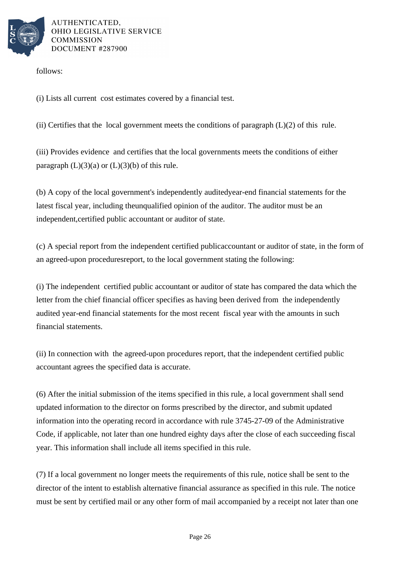

follows:

(i) Lists all current cost estimates covered by a financial test.

(ii) Certifies that the local government meets the conditions of paragraph  $(L)(2)$  of this rule.

(iii) Provides evidence and certifies that the local governments meets the conditions of either paragraph  $(L)(3)(a)$  or  $(L)(3)(b)$  of this rule.

(b) A copy of the local government's independently audited year-end financial statements for the latest fiscal year, including the unqualified opinion of the auditor. The auditor must be an independent, certified public accountant or auditor of state.

(c) A special report from the independent certified public accountant or auditor of state, in the form of an agreed-upon procedures report, to the local government stating the following:

(i) The independent certified public accountant or auditor of state has compared the data which the letter from the chief financial officer specifies as having been derived from the independently audited year-end financial statements for the most recent fiscal year with the amounts in such financial statements.

(ii) In connection with the agreed-upon procedures report, that the independent certified public accountant agrees the specified data is accurate.

(6) After the initial submission of the items specified in this rule, a local government shall send updated information to the director on forms prescribed by the director, and submit updated information into the operating record in accordance with rule 3745-27-09 of the Administrative Code, if applicable, not later than one hundred eighty days after the close of each succeeding fiscal year. This information shall include all items specified in this rule.

(7) If a local government no longer meets the requirements of this rule, notice shall be sent to the director of the intent to establish alternative financial assurance as specified in this rule. The notice must be sent by certified mail or any other form of mail accompanied by a receipt not later than one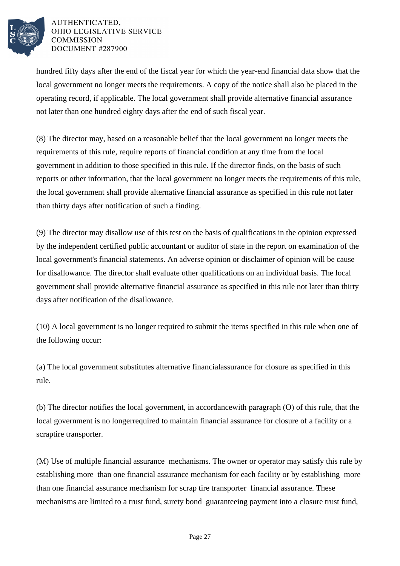

hundred fifty days after the end of the fiscal year for which the year-end financial data show that the local government no longer meets the requirements. A copy of the notice shall also be placed in the operating record, if applicable. The local government shall provide alternative financial assurance not later than one hundred eighty days after the end of such fiscal year.

(8) The director may, based on a reasonable belief that the local government no longer meets the requirements of this rule, require reports of financial condition at any time from the local government in addition to those specified in this rule. If the director finds, on the basis of such reports or other information, that the local government no longer meets the requirements of this rule, the local government shall provide alternative financial assurance as specified in this rule not later than thirty days after notification of such a finding.

(9) The director may disallow use of this test on the basis of qualifications in the opinion expressed by the independent certified public accountant or auditor of state in the report on examination of the local government's financial statements. An adverse opinion or disclaimer of opinion will be cause for disallowance. The director shall evaluate other qualifications on an individual basis. The local government shall provide alternative financial assurance as specified in this rule not later than thirty days after notification of the disallowance.

 $(10)$  A local government is no longer required to submit the items specified in this rule when one of the following occur:

(a) The local government substitutes alternative financial assurance for closure as specified in this rule.

(b) The director notifies the local government, in accordance with paragraph  $(O)$  of this rule, that the local government is no longer required to maintain financial assurance for closure of a facility or a scrap tire transporter.

(M) Use of multiple financial assurance mechanisms. The owner or operator may satisfy this rule by establishing more than one financial assurance mechanism for each facility or by establishing more than one financial assurance mechanism for scrap tire transporter financial assurance. These mechanisms are limited to a trust fund, surety bond guaranteeing payment into a closure trust fund,